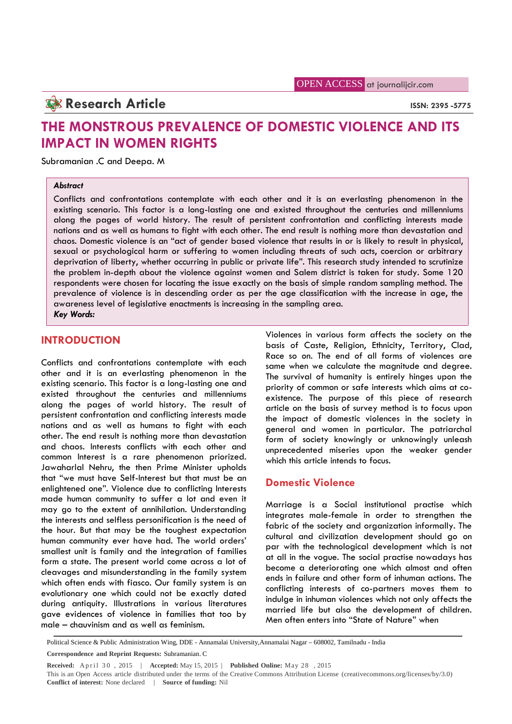## **Research Article ISSN:** 2395 -5775

# **THE MONSTROUS PREVALENCE OF DOMESTIC VIOLENCE AND ITS IMPACT IN WOMEN RIGHTS**

Subramanian .C and Deepa. M

#### *Abstract*

Conflicts and confrontations contemplate with each other and it is an everlasting phenomenon in the existing scenario. This factor is a long-lasting one and existed throughout the centuries and millenniums along the pages of world history. The result of persistent confrontation and conflicting interests made nations and as well as humans to fight with each other. The end result is nothing more than devastation and chaos. Domestic violence is an "act of gender based violence that results in or is likely to result in physical, sexual or psychological harm or suffering to women including threats of such acts, coercion or arbitrary deprivation of liberty, whether occurring in public or private life". This research study intended to scrutinize the problem in-depth about the violence against women and Salem district is taken for study. Some 120 respondents were chosen for locating the issue exactly on the basis of simple random sampling method. The prevalence of violence is in descending order as per the age classification with the increase in age, the awareness level of legislative enactments is increasing in the sampling area. *Key Words:*

### **INTRODUCTION**

Conflicts and confrontations contemplate with each other and it is an everlasting phenomenon in the existing scenario. This factor is a long-lasting one and existed throughout the centuries and millenniums along the pages of world history. The result of persistent confrontation and conflicting interests made nations and as well as humans to fight with each other. The end result is nothing more than devastation and chaos. Interests conflicts with each other and common Interest is a rare phenomenon priorized. Jawaharlal Nehru, the then Prime Minister upholds that "we must have Self-Interest but that must be an enlightened one". Violence due to conflicting Interests made human community to suffer a lot and even it may go to the extent of annihilation. Understanding the interests and selfless personification is the need of the hour. But that may be the toughest expectation human community ever have had. The world orders' smallest unit is family and the integration of families form a state. The present world come across a lot of cleavages and misunderstanding in the family system which often ends with fiasco. Our family system is an evolutionary one which could not be exactly dated during antiquity. Illustrations in various literatures gave evidences of violence in families that too by male – chauvinism and as well as feminism.

Violences in various form affects the society on the basis of Caste, Religion, Ethnicity, Territory, Clad, Race so on. The end of all forms of violences are same when we calculate the magnitude and degree. The survival of humanity is entirely hinges upon the priority of common or safe interests which aims at co existence. The purpose of this piece of research article on the basis of survey method is to focus upon the impact of domestic violences in the society in general and women in particular. The patriarchal form of society knowingly or unknowingly unleash unprecedented miseries upon the weaker gender which this article intends to focus.

### **Domestic Violence**

Marriage is a Social institutional practise which integrates male-female in order to strengthen the fabric of the society and organization informally. The cultural and civilization development should go on par with the technological development which is not at all in the vogue. The social practise nowadays has become a deteriorating one which almost and often ends in failure and other form of inhuman actions. The conflicting interests of co-partners moves them to indulge in inhuman violences which not only affects the married life but also the development of children. Men often enters into "State of Nature" when

Political Science & Public Administration Wing, DDE - Annamalai University,Annamalai Nagar – 608002, Tamilnadu - India

Folitical Science & Public Administration Wing, DDE - Annamalai University, Annamalai Nagar – 608002, Tamilnadu - India<br>
Political Science & Public Administration Wing, DDE - Annamalai University, Annamalai Nagar – 608002, **Conflict of interest:** None declared | **Source of funding:** Nil

**Correspondence and Reprint Requests:** Subramanian. C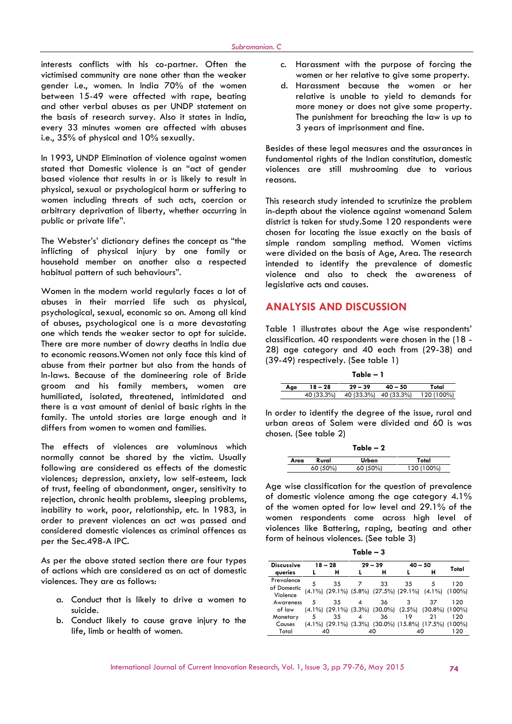interests conflicts with his co-partner. Often the victimised community are none other than the weaker gender i.e., women. In India 70% of the women between 15-49 were affected with rape, beating and other verbal abuses as per UNDP statement on the basis of research survey. Also it states in India, every 33 minutes women are affected with abuses i.e., 35% of physical and 10% sexually.

In 1993, UNDP Elimination of violence against women stated that Domestic violence is an "act of gender based violence that results in or is likely to result in physical, sexual or psychological harm or suffering to women including threats of such acts, coercion or arbitrary deprivation of liberty, whether occurring in public or private life".

The Webster's' dictionary defines the concept as "the inflicting of physical injury by one family or household member on another also a respected habitual pattern of such behaviours".

Women in the modern world regularly faces a lot of abuses in their married life such as physical, psychological, sexual, economic so on. Among all kind of abuses, psychological one is a more devastating one which tends the weaker sector to opt for suicide. There are more number of dowry deaths in India due to economic reasons.Women not only face this kind of abuse from their partner but also from the hands of In-laws. Because of the domineering role of Bride groom and his family members, women are humiliated, isolated, threatened, intimidated and there is a vast amount of denial of basic rights in the family. The untold stories are large enough and it differs from women to women and families.

The effects of violences are voluminous which normally cannot be shared by the victim. Usually following are considered as effects of the domestic violences; depression, anxiety, low self-esteem, lack of trust, feeling of abandonment, anger, sensitivity to rejection, chronic health problems, sleeping problems, inability to work, poor, relationship, etc. In 1983, in order to prevent violences an act was passed and considered domestic violences as criminal offences as per the Sec.498-A IPC.

As per the above stated section there are four types of actions which are considered as an act of domestic violences. They are as follows:

- a. Conduct that is likely to drive a women to suicide.
- b. Conduct likely to cause grave injury to the life, limb or health of women.
- c. Harassment with the purpose of forcing the women or her relative to give some property.
- d. Harassment because the women or her relative is unable to yield to demands for more money or does not give some property. The punishment for breaching the law is up to 3 years of imprisonment and fine.

Besides of these legal measures and the assurances in fundamental rights of the Indian constitution, domestic violences are still mushrooming due to various reasons.

This research study intended to scrutinize the problem in-depth about the violence against womenand Salem district is taken for study.Some 120 respondents were chosen for locating the issue exactly on the basis of simple random sampling method. Women victims were divided on the basis of Age, Area. The research intended to identify the prevalence of domestic violence and also to check the awareness of legislative acts and causes.

### **ANALYSIS AND DISCUSSION**

Table 1 illustrates about the Age wise respondents' classification. 40 respondents were chosen in the (18 - 28) age category and 40 each from (29-38) and (39-49) respectively. (See table 1)

|     |            | Table – 1 |                       |            |
|-----|------------|-----------|-----------------------|------------|
| Age | 18 – 28    | $29 - 39$ | $40 - 50$             | Total      |
|     | 40 (33.3%) |           | 40 (33.3%) 40 (33.3%) | 120 (100%) |

In order to identify the degree of the issue, rural and urban areas of Salem were divided and 60 is was chosen. (See table 2)

|      |          | Table $-2$ |            |
|------|----------|------------|------------|
| Area | Rural    | Urban      | Total      |
|      | 60 (50%) | 60 (50%)   | 120 (100%) |

Age wise classification for the question of prevalence of domestic violence among the age category 4.1% of the women opted for low level and 29.1% of the women respondents come across high level of violences like Battering, raping, beating and other form of heinous violences. (See table 3)

**Table – 3**

| <b>Discussive</b>       |   | $18 - 28$ |   | $29 - 39$                                                                 | $40 - 50$ |    | Total     |
|-------------------------|---|-----------|---|---------------------------------------------------------------------------|-----------|----|-----------|
| queries                 |   | н         |   | н                                                                         |           | н  |           |
| Prevalence              | 5 | 35        |   | 33                                                                        | 35        | 5  | 120       |
| of Domestic<br>Violence |   |           |   | $(4.1\%)$ $(29.1\%)$ $(5.8\%)$ $(27.5\%)$ $(29.1\%)$ $(4.1\%)$            |           |    | $(100\%)$ |
| Awareness               | 5 | 35        | 4 | 36                                                                        | 3         | 37 | 120       |
| of law                  |   |           |   | $(4.1\%)$ $(29.1\%)$ $(3.3\%)$ $(30.0\%)$ $(2.5\%)$ $(30.8\%)$ $(100\%)$  |           |    |           |
| Monetary                | 5 | 35        |   | 36                                                                        | 19        | 21 | 120       |
| Causes                  |   |           |   | $(4.1\%)$ $(29.1\%)$ $(3.3\%)$ $(30.0\%)$ $(15.8\%)$ $(17.5\%)$ $(100\%)$ |           |    |           |
| Total                   |   | 40        |   | 40                                                                        |           |    | 120       |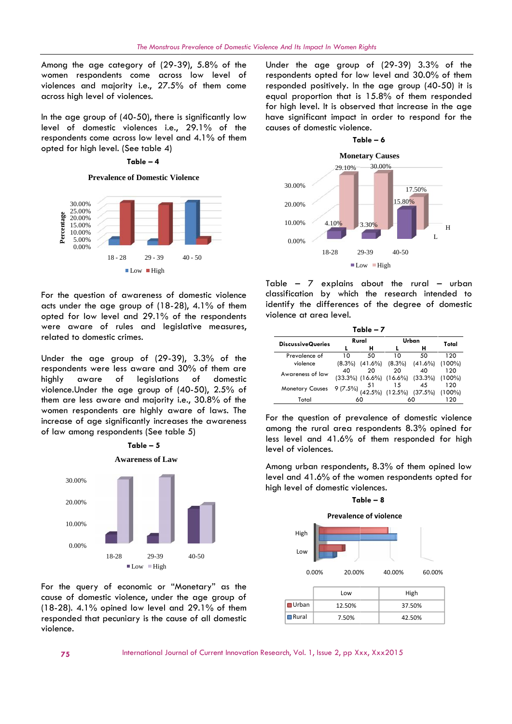Among the age category of (29-39), 5.8% of the women respondents come across low level of violences and majority i.e., 27.5% of them come across high level of violences.

In the age group of  $(40-50)$ , there is significantly low level of domestic violences i.e., 29.1% of the respondents come across low level and 4.1% of them opted for high level. (See table 4)

#### **Table – 4**

**Prevalence of Domestic Violence**



For the question of awareness of domestic violence acts under the age group of (18-28), 4.1% of them opted for low level and 29.1% of the respondents were aware of rules and legislative measures, related to domestic crimes.

Under the age group of (29-39), 3.3% of the respondents were less aware and 30% of them are highly aware of legislations of domestic violence.Under the age group of (40-50), 2.5% of them are less aware and majority i.e., 30.8% of the women respondents are highly aware of laws. The increase of age significantly increases the awareness of law among respondents (See table 5)



For the query of economic or "Monetary" as the cause of domestic violence, under the age group of  $(18-28)$ . 4.1% opined low level and  $29.1\%$  of them responded that pecuniary is the cause of all domestic violence.

Under the age group of (29-39) 3.3% of the respondents opted for low level and 30.0% of them responded positively. In the age group (40-50) it is equal proportion that is 15.8% of them responded for high level. It is observed that increase in the age have significant impact in order to respond for the causes of domestic violence.



|                                                                                                                                                                    |    | $\blacksquare$ Low $\blacksquare$ High |                                |                                                             |           |
|--------------------------------------------------------------------------------------------------------------------------------------------------------------------|----|----------------------------------------|--------------------------------|-------------------------------------------------------------|-----------|
| able – 7 explains about the rural<br>assification by which the research intended to<br>lentify the differences of the degree of domestic<br>iolence at area level. |    |                                        |                                |                                                             | - urban   |
|                                                                                                                                                                    |    |                                        |                                |                                                             |           |
|                                                                                                                                                                    |    | Table - 7                              |                                |                                                             |           |
|                                                                                                                                                                    |    | Rural                                  |                                | Urban                                                       |           |
|                                                                                                                                                                    | L  | н                                      |                                | н                                                           | Total     |
| Prevalence of                                                                                                                                                      | 10 | 50                                     | 10                             | 50                                                          | 120       |
| violence                                                                                                                                                           |    |                                        | $(8.3\%)$ $(41.6\%)$ $(8.3\%)$ | $(41.6\%)$                                                  | $(100\%)$ |
| <b>DiscussiveQueries</b>                                                                                                                                           | 40 | 20                                     | 20                             | 40                                                          | 120       |
| Awareness of law                                                                                                                                                   |    |                                        |                                |                                                             |           |
|                                                                                                                                                                    |    |                                        | 15                             | $(33.3\%)$ $(16.6\%)$ $(16.6\%)$ $(33.3\%)$ $(100\%)$<br>45 | 120       |
| <b>Monetary Causes</b>                                                                                                                                             |    | 51                                     |                                | $9(7.5\%)$ $(42.5\%)$ $(12.5\%)$ $(37.5\%)$ $(100\%)$       |           |

For the question of prevalence of domestic violence among the rural area respondents 8.3% opined for less level and 41.6% of them responded for high level of violences.

Among urban respondents, 8.3% of them opined low level and 41.6% of the women respondents opted for high level of domestic violences.